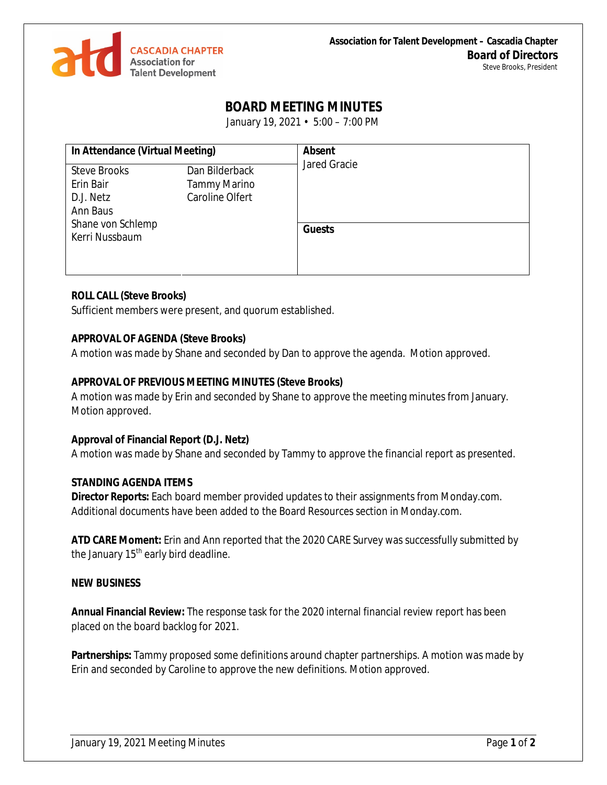

# **BOARD MEETING MINUTES**

January 19, 2021 • 5:00 – 7:00 PM

| In Attendance (Virtual Meeting)                           |                                                          | <b>Absent</b><br>Jared Gracie |
|-----------------------------------------------------------|----------------------------------------------------------|-------------------------------|
| <b>Steve Brooks</b><br>Erin Bair<br>D.J. Netz<br>Ann Baus | Dan Bilderback<br><b>Tammy Marino</b><br>Caroline Olfert |                               |
| Shane von Schlemp<br>Kerri Nussbaum                       |                                                          | <b>Guests</b>                 |

## **ROLL CALL (Steve Brooks)**

Sufficient members were present, and quorum established.

## **APPROVAL OF AGENDA (Steve Brooks)**

A motion was made by Shane and seconded by Dan to approve the agenda. Motion approved.

## **APPROVAL OF PREVIOUS MEETING MINUTES (Steve Brooks)**

A motion was made by Erin and seconded by Shane to approve the meeting minutes from January. Motion approved.

## **Approval of Financial Report (D.J. Netz)**

A motion was made by Shane and seconded by Tammy to approve the financial report as presented.

#### **STANDING AGENDA ITEMS**

**Director Reports:** Each board member provided updates to their assignments from Monday.com. Additional documents have been added to the Board Resources section in Monday.com.

**ATD CARE Moment:** Erin and Ann reported that the 2020 CARE Survey was successfully submitted by the January 15<sup>th</sup> early bird deadline.

## **NEW BUSINESS**

**Annual Financial Review:** The response task for the 2020 internal financial review report has been placed on the board backlog for 2021.

**Partnerships:** Tammy proposed some definitions around chapter partnerships. A motion was made by Erin and seconded by Caroline to approve the new definitions. Motion approved.